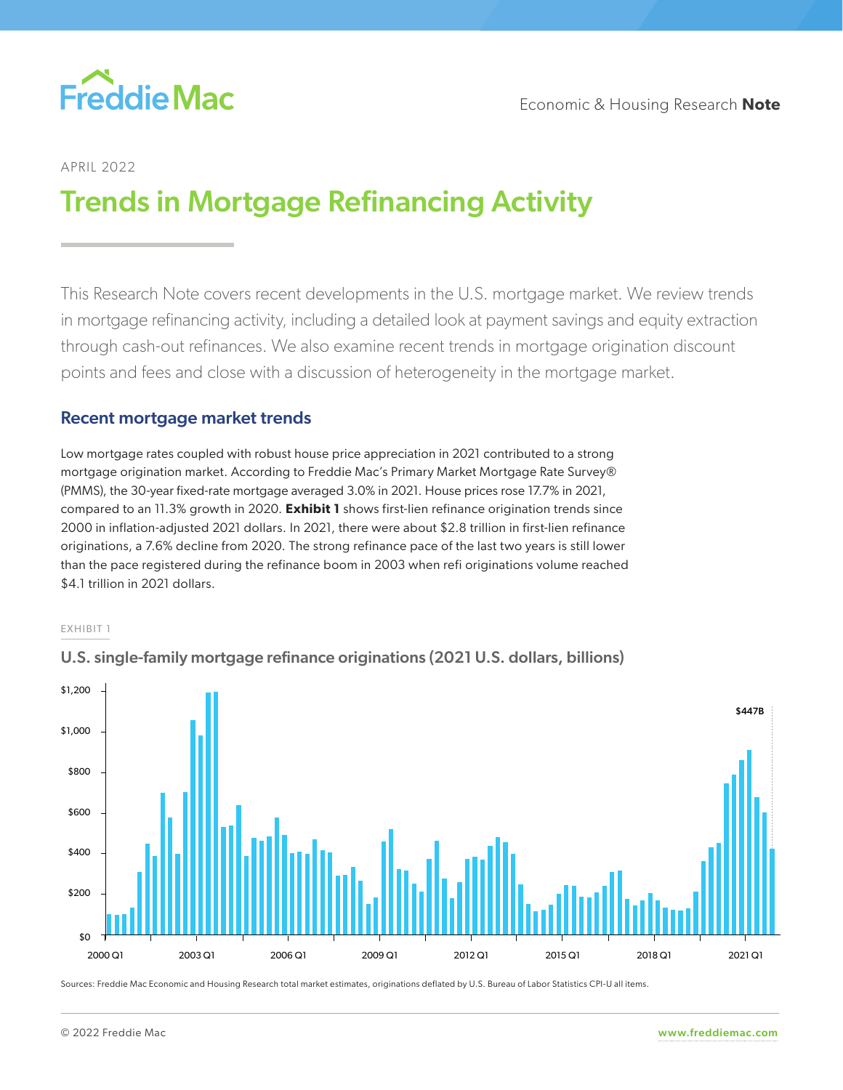

# APRIL 2022

# Trends in Mortgage Refinancing Activity

This Research Note covers recent developments in the U.S. mortgage market. We review trends in mortgage refinancing activity, including a detailed look at payment savings and equity extraction through cash-out refinances. We also examine recent trends in mortgage origination discount points and fees and close with a discussion of heterogeneity in the mortgage market.

# Recent mortgage market trends

Low mortgage rates coupled with robust house price appreciation in 2021 contributed to a strong mortgage origination market. According to Freddie Mac's Primary Market Mortgage Rate Survey® (PMMS), the 30-year fixed-rate mortgage averaged 3.0% in 2021. House prices rose 17.7% in 2021, compared to an 11.3% growth in 2020. **Exhibit 1** shows first-lien refinance origination trends since 2000 in inflation-adjusted 2021 dollars. In 2021, there were about \$2.8 trillion in first-lien refinance originations, a 7.6% decline from 2020. The strong refinance pace of the last two years is still lower than the pace registered during the refinance boom in 2003 when refi originations volume reached \$4.1 trillion in 2021 dollars.

#### EXHIBIT 1



U.S. single-family mortgage refinance originations (2021 U.S. dollars, billions)

Sources: Freddie Mac Economic and Housing Research total market estimates, originations deflated by U.S. Bureau of Labor Statistics CPI-U all items.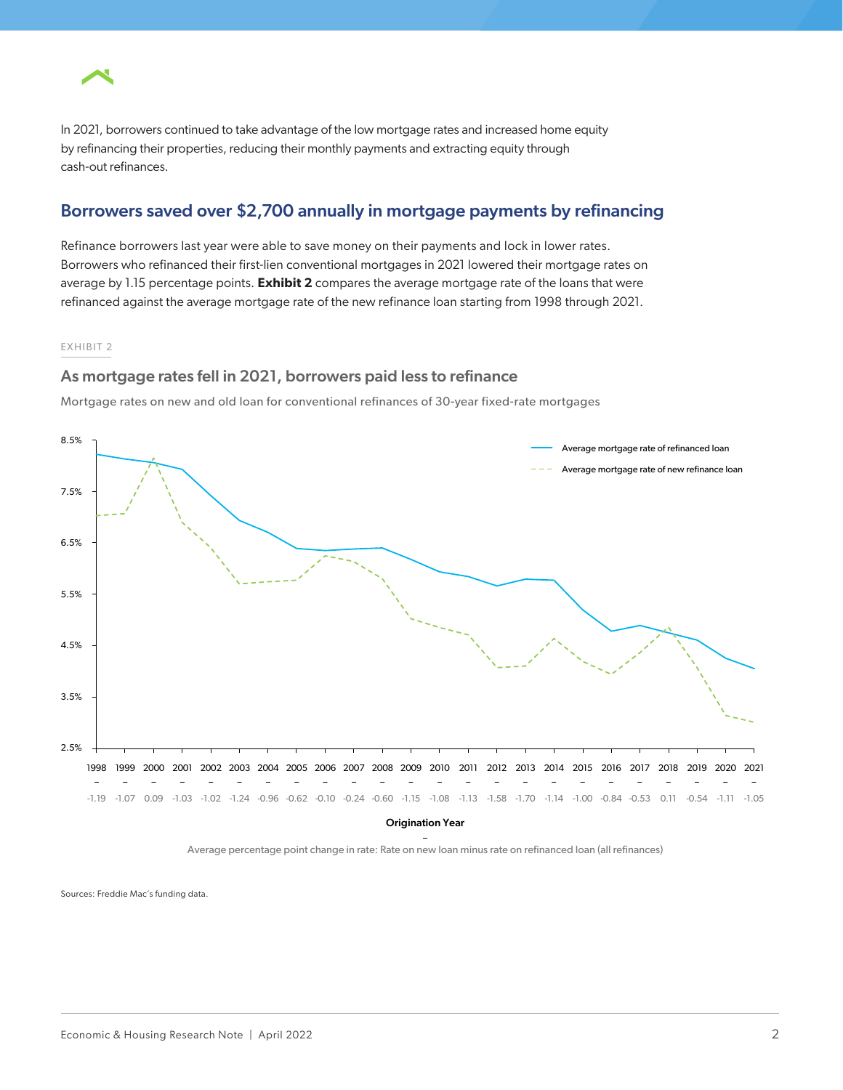

In 2021, borrowers continued to take advantage of the low mortgage rates and increased home equity by refinancing their properties, reducing their monthly payments and extracting equity through cash-out refinances.

## Borrowers saved over \$2,700 annually in mortgage payments by refinancing

Refinance borrowers last year were able to save money on their payments and lock in lower rates. Borrowers who refinanced their first-lien conventional mortgages in 2021 lowered their mortgage rates on average by 1.15 percentage points. **Exhibit 2** compares the average mortgage rate of the loans that were refinanced against the average mortgage rate of the new refinance loan starting from 1998 through 2021.

#### EXHIBIT 2

### As mortgage rates fell in 2021, borrowers paid less to refinance

Mortgage rates on new and old loan for conventional refinances of 30-year fixed-rate mortgages



Origination Year

– Average percentage point change in rate: Rate on new loan minus rate on refinanced loan (all refinances)

Sources: Freddie Mac's funding data.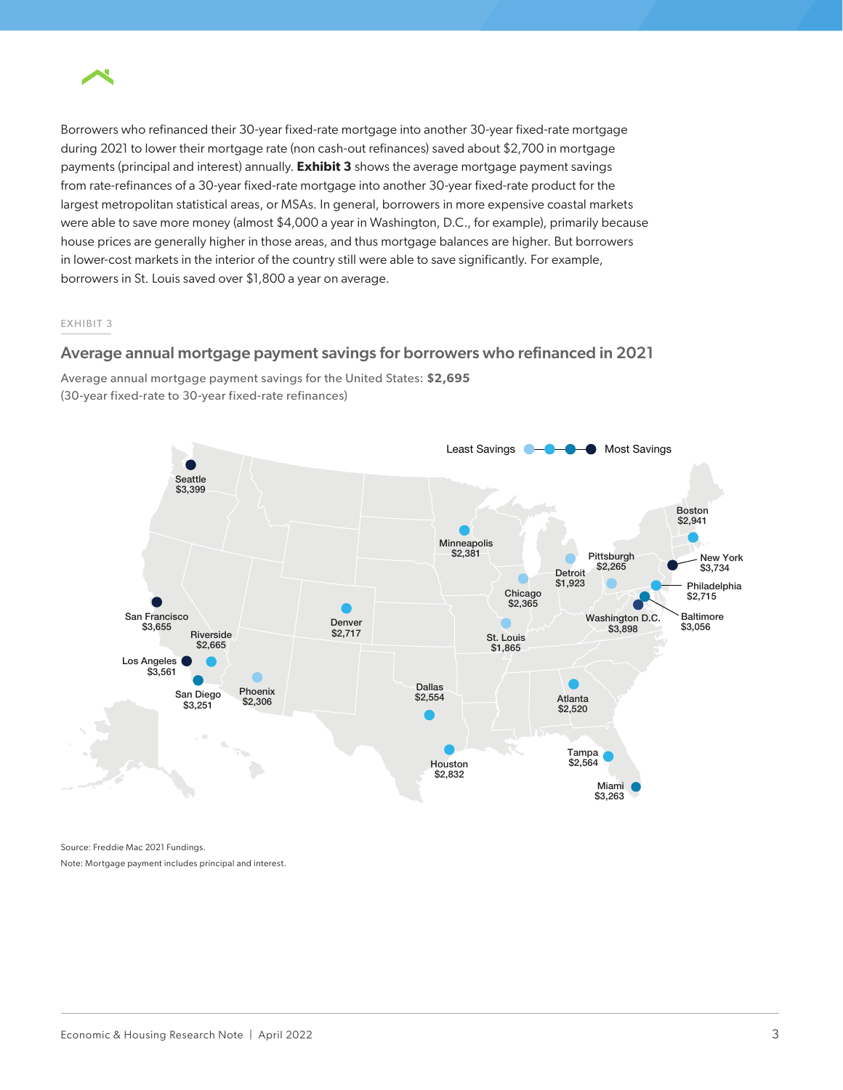

Borrowers who refinanced their 30-year fixed-rate mortgage into another 30-year fixed-rate mortgage during 2021 to lower their mortgage rate (non cash-out refinances) saved about \$2,700 in mortgage payments (principal and interest) annually. **Exhibit 3** shows the average mortgage payment savings from rate-refinances of a 30-year fixed-rate mortgage into another 30-year fixed-rate product for the largest metropolitan statistical areas, or MSAs. In general, borrowers in more expensive coastal markets were able to save more money (almost \$4,000 a year in Washington, D.C., for example), primarily because house prices are generally higher in those areas, and thus mortgage balances are higher. But borrowers in lower-cost markets in the interior of the country still were able to save significantly. For example, borrowers in St. Louis saved over \$1,800 a year on average.

#### EXHIBIT 3

## Average annual mortgage payment savings for borrowers who refinanced in 2021

Average annual mortgage payment savings for the United States: **\$2,695** (30-year fixed-rate to 30-year fixed-rate refinances)



Source: Freddie Mac 2021 Fundings. Note: Mortgage payment includes principal and interest.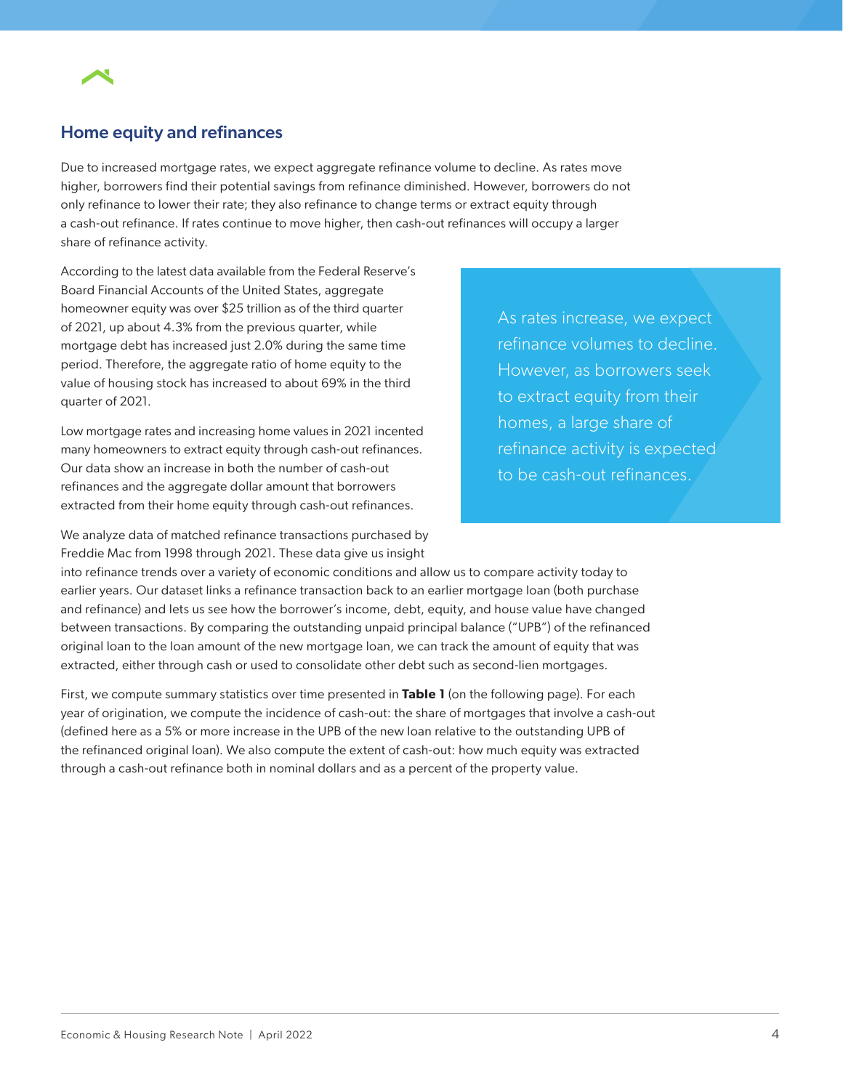

# Home equity and refinances

Due to increased mortgage rates, we expect aggregate refinance volume to decline. As rates move higher, borrowers find their potential savings from refinance diminished. However, borrowers do not only refinance to lower their rate; they also refinance to change terms or extract equity through a cash-out refinance. If rates continue to move higher, then cash-out refinances will occupy a larger share of refinance activity.

According to the latest data available from the Federal Reserve's Board Financial Accounts of the United States, aggregate homeowner equity was over \$25 trillion as of the third quarter of 2021, up about 4.3% from the previous quarter, while mortgage debt has increased just 2.0% during the same time period. Therefore, the aggregate ratio of home equity to the value of housing stock has increased to about 69% in the third quarter of 2021.

Low mortgage rates and increasing home values in 2021 incented many homeowners to extract equity through cash-out refinances. Our data show an increase in both the number of cash-out refinances and the aggregate dollar amount that borrowers extracted from their home equity through cash-out refinances.

As rates increase, we expect refinance volumes to decline. However, as borrowers seek to extract equity from their homes, a large share of refinance activity is expected to be cash-out refinances.

We analyze data of matched refinance transactions purchased by Freddie Mac from 1998 through 2021. These data give us insight

into refinance trends over a variety of economic conditions and allow us to compare activity today to earlier years. Our dataset links a refinance transaction back to an earlier mortgage loan (both purchase and refinance) and lets us see how the borrower's income, debt, equity, and house value have changed between transactions. By comparing the outstanding unpaid principal balance ("UPB") of the refinanced original loan to the loan amount of the new mortgage loan, we can track the amount of equity that was extracted, either through cash or used to consolidate other debt such as second-lien mortgages.

First, we compute summary statistics over time presented in **Table 1** (on the following page). For each year of origination, we compute the incidence of cash-out: the share of mortgages that involve a cash-out (defined here as a 5% or more increase in the UPB of the new loan relative to the outstanding UPB of the refinanced original loan). We also compute the extent of cash-out: how much equity was extracted through a cash-out refinance both in nominal dollars and as a percent of the property value.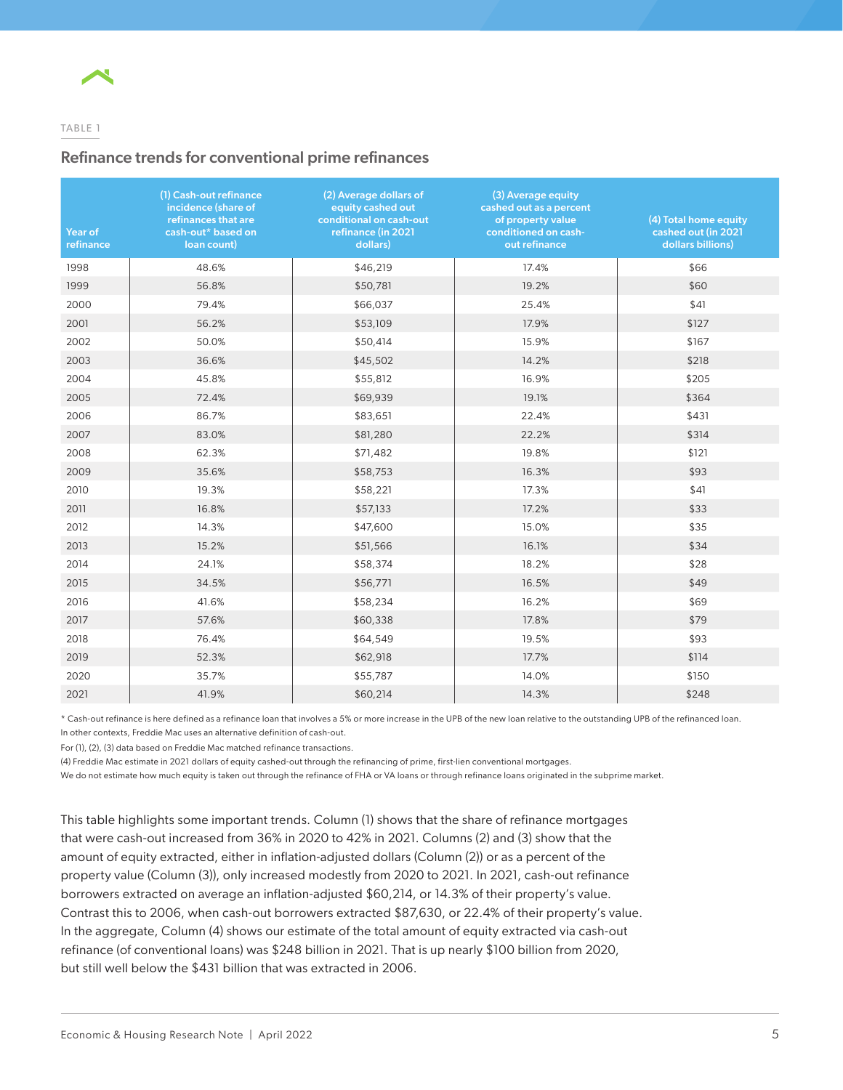

## TABLE 1

## Refinance trends for conventional prime refinances

| Year of<br>refinance | (1) Cash-out refinance<br>incidence (share of<br>refinances that are<br>cash-out* based on<br>loan count) | (2) Average dollars of<br>equity cashed out<br>conditional on cash-out<br>refinance (in 2021<br>dollars) | (3) Average equity<br>cashed out as a percent<br>of property value<br>conditioned on cash-<br>out refinance | (4) Total home equity<br>cashed out (in 2021<br>dollars billions) |
|----------------------|-----------------------------------------------------------------------------------------------------------|----------------------------------------------------------------------------------------------------------|-------------------------------------------------------------------------------------------------------------|-------------------------------------------------------------------|
| 1998                 | 48.6%                                                                                                     | \$46,219                                                                                                 | 17.4%                                                                                                       | \$66                                                              |
| 1999                 | 56.8%                                                                                                     | \$50,781                                                                                                 | 19.2%                                                                                                       | \$60                                                              |
| 2000                 | 79.4%                                                                                                     | \$66,037                                                                                                 | 25.4%                                                                                                       | \$41                                                              |
| 2001                 | 56.2%                                                                                                     | \$53,109                                                                                                 | 17.9%                                                                                                       | \$127                                                             |
| 2002                 | 50.0%                                                                                                     | \$50,414                                                                                                 | 15.9%                                                                                                       | \$167                                                             |
| 2003                 | 36.6%                                                                                                     | \$45,502                                                                                                 | 14.2%                                                                                                       | \$218                                                             |
| 2004                 | 45.8%                                                                                                     | \$55,812                                                                                                 | 16.9%                                                                                                       | \$205                                                             |
| 2005                 | 72.4%                                                                                                     | \$69,939                                                                                                 | 19.1%                                                                                                       | \$364                                                             |
| 2006                 | 86.7%                                                                                                     | \$83,651                                                                                                 | 22.4%                                                                                                       | \$431                                                             |
| 2007                 | 83.0%                                                                                                     | \$81,280                                                                                                 | 22.2%                                                                                                       | \$314                                                             |
| 2008                 | 62.3%                                                                                                     | \$71,482                                                                                                 | 19.8%                                                                                                       | \$121                                                             |
| 2009                 | 35.6%                                                                                                     | \$58,753                                                                                                 | 16.3%                                                                                                       | \$93                                                              |
| 2010                 | 19.3%                                                                                                     | \$58,221                                                                                                 | 17.3%                                                                                                       | \$41                                                              |
| 2011                 | 16.8%                                                                                                     | \$57,133                                                                                                 | 17.2%                                                                                                       | \$33                                                              |
| 2012                 | 14.3%                                                                                                     | \$47,600                                                                                                 | 15.0%                                                                                                       | \$35                                                              |
| 2013                 | 15.2%                                                                                                     | \$51,566                                                                                                 | 16.1%                                                                                                       | \$34                                                              |
| 2014                 | 24.1%                                                                                                     | \$58,374                                                                                                 | 18.2%                                                                                                       | \$28                                                              |
| 2015                 | 34.5%                                                                                                     | \$56,771                                                                                                 | 16.5%                                                                                                       | \$49                                                              |
| 2016                 | 41.6%                                                                                                     | \$58,234                                                                                                 | 16.2%                                                                                                       | \$69                                                              |
| 2017                 | 57.6%                                                                                                     | \$60,338                                                                                                 | 17.8%                                                                                                       | \$79                                                              |
| 2018                 | 76.4%                                                                                                     | \$64,549                                                                                                 | 19.5%                                                                                                       | \$93                                                              |
| 2019                 | 52.3%                                                                                                     | \$62,918                                                                                                 | 17.7%                                                                                                       | \$114                                                             |
| 2020                 | 35.7%                                                                                                     | \$55,787                                                                                                 | 14.0%                                                                                                       | \$150                                                             |
| 2021                 | 41.9%                                                                                                     | \$60,214                                                                                                 | 14.3%                                                                                                       | \$248                                                             |

\* Cash-out refinance is here defined as a refinance loan that involves a 5% or more increase in the UPB of the new loan relative to the outstanding UPB of the refinanced loan. In other contexts, Freddie Mac uses an alternative definition of cash-out.

For (1), (2), (3) data based on Freddie Mac matched refinance transactions.

(4) Freddie Mac estimate in 2021 dollars of equity cashed-out through the refinancing of prime, first-lien conventional mortgages.

We do not estimate how much equity is taken out through the refinance of FHA or VA loans or through refinance loans originated in the subprime market.

This table highlights some important trends. Column (1) shows that the share of refinance mortgages that were cash-out increased from 36% in 2020 to 42% in 2021. Columns (2) and (3) show that the amount of equity extracted, either in inflation-adjusted dollars (Column (2)) or as a percent of the property value (Column (3)), only increased modestly from 2020 to 2021. In 2021, cash-out refinance borrowers extracted on average an inflation-adjusted \$60,214, or 14.3% of their property's value. Contrast this to 2006, when cash-out borrowers extracted \$87,630, or 22.4% of their property's value. In the aggregate, Column (4) shows our estimate of the total amount of equity extracted via cash-out refinance (of conventional loans) was \$248 billion in 2021. That is up nearly \$100 billion from 2020, but still well below the \$431 billion that was extracted in 2006.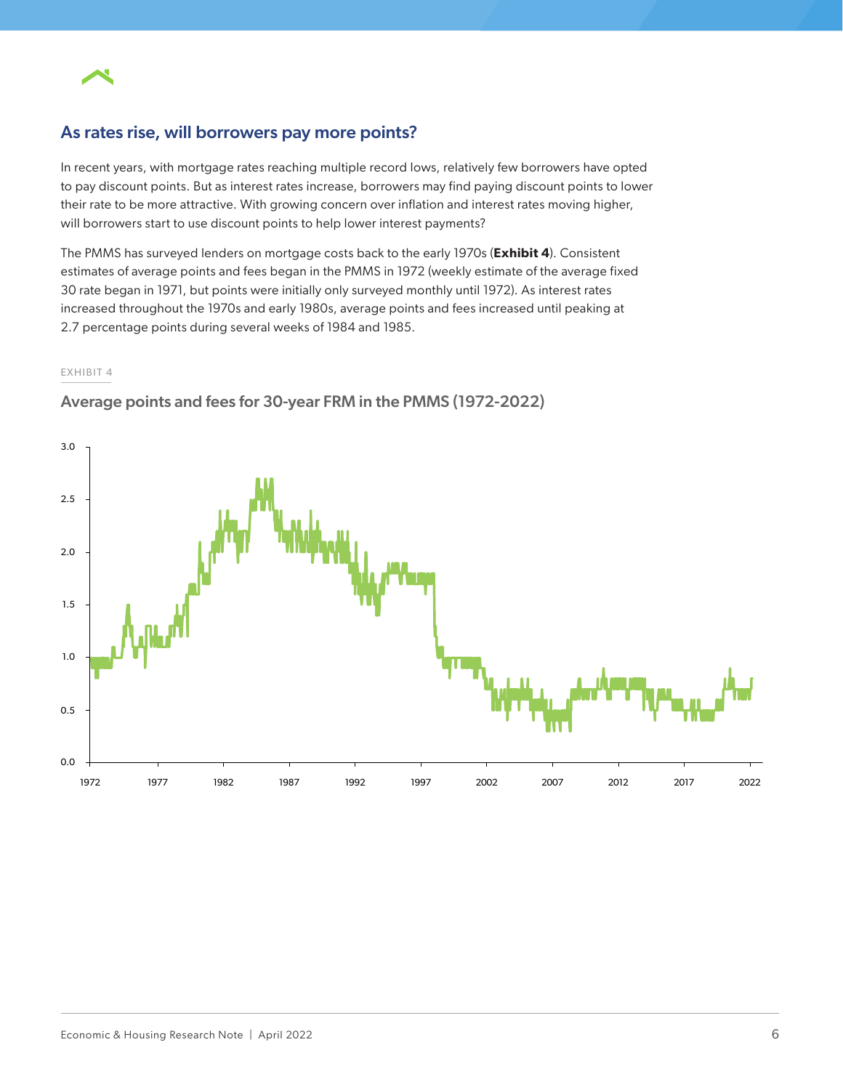

# As rates rise, will borrowers pay more points?

In recent years, with mortgage rates reaching multiple record lows, relatively few borrowers have opted to pay discount points. But as interest rates increase, borrowers may find paying discount points to lower their rate to be more attractive. With growing concern over inflation and interest rates moving higher, will borrowers start to use discount points to help lower interest payments?

The PMMS has surveyed lenders on mortgage costs back to the early 1970s (**Exhibit 4**). Consistent estimates of average points and fees began in the PMMS in 1972 (weekly estimate of the average fixed 30 rate began in 1971, but points were initially only surveyed monthly until 1972). As interest rates increased throughout the 1970s and early 1980s, average points and fees increased until peaking at 2.7 percentage points during several weeks of 1984 and 1985.

#### EXHIBIT 4



## Average points and fees for 30-year FRM in the PMMS (1972-2022)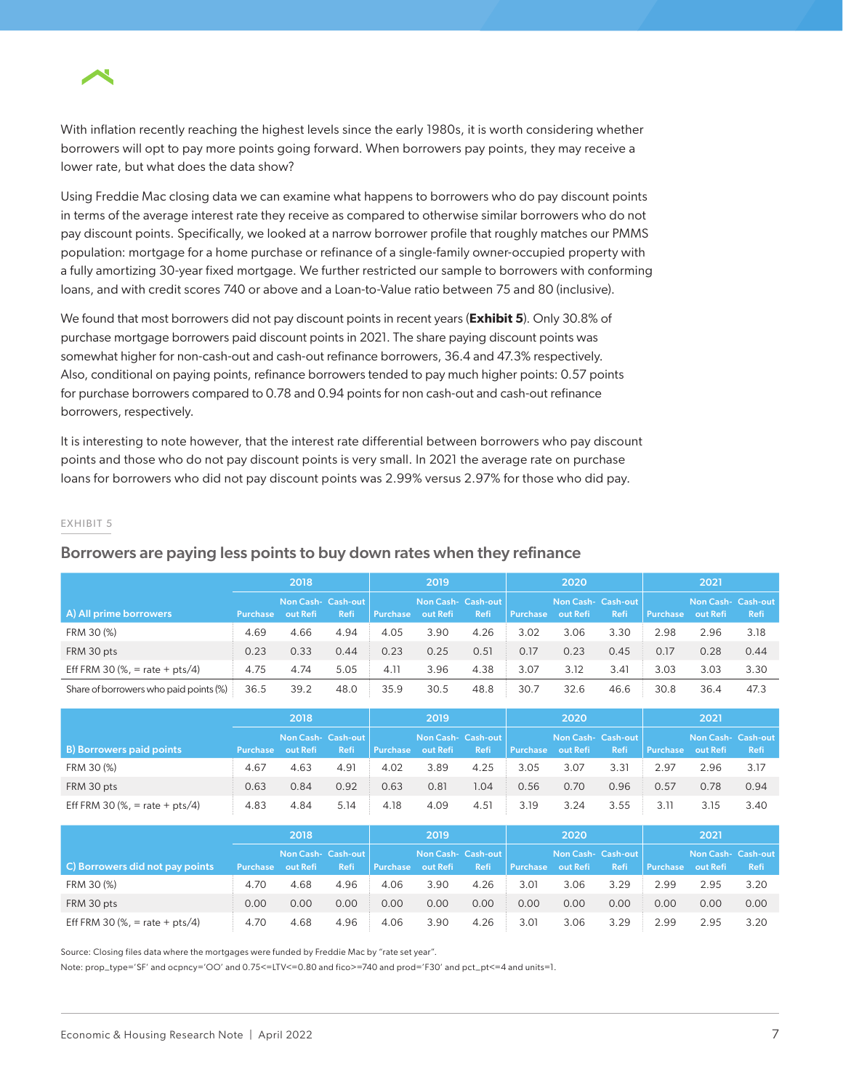

With inflation recently reaching the highest levels since the early 1980s, it is worth considering whether borrowers will opt to pay more points going forward. When borrowers pay points, they may receive a lower rate, but what does the data show?

Using Freddie Mac closing data we can examine what happens to borrowers who do pay discount points in terms of the average interest rate they receive as compared to otherwise similar borrowers who do not pay discount points. Specifically, we looked at a narrow borrower profile that roughly matches our PMMS population: mortgage for a home purchase or refinance of a single-family owner-occupied property with a fully amortizing 30-year fixed mortgage. We further restricted our sample to borrowers with conforming loans, and with credit scores 740 or above and a Loan-to-Value ratio between 75 and 80 (inclusive).

We found that most borrowers did not pay discount points in recent years (**Exhibit 5**). Only 30.8% of purchase mortgage borrowers paid discount points in 2021. The share paying discount points was somewhat higher for non-cash-out and cash-out refinance borrowers, 36.4 and 47.3% respectively. Also, conditional on paying points, refinance borrowers tended to pay much higher points: 0.57 points for purchase borrowers compared to 0.78 and 0.94 points for non cash-out and cash-out refinance borrowers, respectively.

It is interesting to note however, that the interest rate differential between borrowers who pay discount points and those who do not pay discount points is very small. In 2021 the average rate on purchase loans for borrowers who did not pay discount points was 2.99% versus 2.97% for those who did pay.

#### EXHIBIT 5

|                                        | 2018            |          | 2019                       |                 |                                | 2020        |          |                               | 2021 |                 |                                |             |
|----------------------------------------|-----------------|----------|----------------------------|-----------------|--------------------------------|-------------|----------|-------------------------------|------|-----------------|--------------------------------|-------------|
| A) All prime borrowers                 | <b>Purchase</b> | out Refi | Non Cash- Cash-out<br>Refi | <b>Purchase</b> | Non Cash- Cash-out<br>out Refi | <b>Refi</b> | Purchase | Non Cash-Cash-out<br>out Refi | Refi | <b>Purchase</b> | Non Cash- Cash-out<br>out Refi | <b>Refi</b> |
| FRM 30 (%)                             | 4.69            | 4.66     | 4.94                       | 4.05            | 3.90                           | 4.26        | 3.02     | 3.06                          | 3.30 | 2.98            | 2.96                           | 3.18        |
| FRM 30 pts                             | 0.23            | 0.33     | 0.44                       | 0.23            | 0.25                           | 0.51        | 0.17     | 0.23                          | 0.45 | 0.17            | 0.28                           | 0.44        |
| Eff FRM 30 (%, = rate + $pts/4$ )      | 4.75            | 4.74     | 5.05                       | 4.11            | 3.96                           | 4.38        | 3.07     | 3.12                          | 3.41 | 3.03            | 3.03                           | 3.30        |
| Share of borrowers who paid points (%) | 36.5            | 39.2     | 48.0                       | 35.9            | 30.5                           | 48.8        | 30.7     | 32.6                          | 46.6 | 30.8            | 36.4                           | 47.3        |

## Borrowers are paying less points to buy down rates when they refinance

|                                   | 2018            |                                |      | 2019            |          |                            | 2020            |                                       |      | 2021            |                                |             |
|-----------------------------------|-----------------|--------------------------------|------|-----------------|----------|----------------------------|-----------------|---------------------------------------|------|-----------------|--------------------------------|-------------|
| <b>B</b> ) Borrowers paid points  | <b>Purchase</b> | Non Cash- Cash-out<br>out Refi | Refi | <b>Purchase</b> | out Refi | Non Cash- Cash-out<br>Refi | <b>Purchase</b> | <b>Non Cash- Cash-out</b><br>out Refi | Refi | <b>Purchase</b> | Non Cash- Cash-out<br>out Refi | <b>Refi</b> |
| FRM 30 (%)                        | 4.67            | 4.63                           | 4.91 | 4.02            | 3.89     | 4.25                       | 3.05            | 3.07                                  | 3.31 | 2.97            | 2.96                           | 3.17        |
| FRM 30 pts                        | 0.63            | 0.84                           | 0.92 | 0.63            | 0.81     | .04                        | 0.56            | 0.70                                  | 0.96 | 0.57            | 0.78                           | 0.94        |
| Eff FRM 30 (%, = rate + $pts/4$ ) | 4.83            | 4.84                           | 5.14 | 4.18            | 4.09     | 4.51                       | 3.19            | 3.24                                  | 3.55 | 3.11            | 3.15                           | 3.40        |

|                                   | 2018            |          | 2019                              |          |                               | 2020        |                 |                                | 2021 |                 |                                       |             |
|-----------------------------------|-----------------|----------|-----------------------------------|----------|-------------------------------|-------------|-----------------|--------------------------------|------|-----------------|---------------------------------------|-------------|
| C) Borrowers did not pay points   | <b>Purchase</b> | out Refi | Non Cash- Cash-out<br><b>Refi</b> | Purchase | Non Cash-Cash-out<br>out Refi | <b>Refi</b> | <b>Purchase</b> | Non Cash- Cash-out<br>out Refi | Refi | <b>Purchase</b> | <b>Non Cash- Cash-out</b><br>out Refi | <b>Refi</b> |
| FRM 30 (%)                        | 4.70            | 4.68     | 4.96                              | 4.06     | 3.90                          | 4.26        | 3.01            | 3.06                           | 3.29 | 2.99            | 2.95                                  | 3.20        |
| FRM 30 pts                        | 0.00            | 0.00     | 0.00                              | 0.00     | 0.00                          | 0.00        | 0.00            | 0.00                           | 0.00 | 0.00            | 0.00                                  | 0.00        |
| Eff FRM 30 (%, = rate + $pts/4$ ) | 4.70            | 4.68     | 4.96                              | 4.06     | 3.90                          | 4.26        | 3.01            | 3.06                           | 3.29 | 2.99            | 2.95                                  | 3.20        |

Source: Closing files data where the mortgages were funded by Freddie Mac by "rate set year".

Note: prop\_type='SF' and ocpncy='OO' and 0.75<=LTV<=0.80 and fico>=740 and prod='F30' and pct\_pt<=4 and units=1.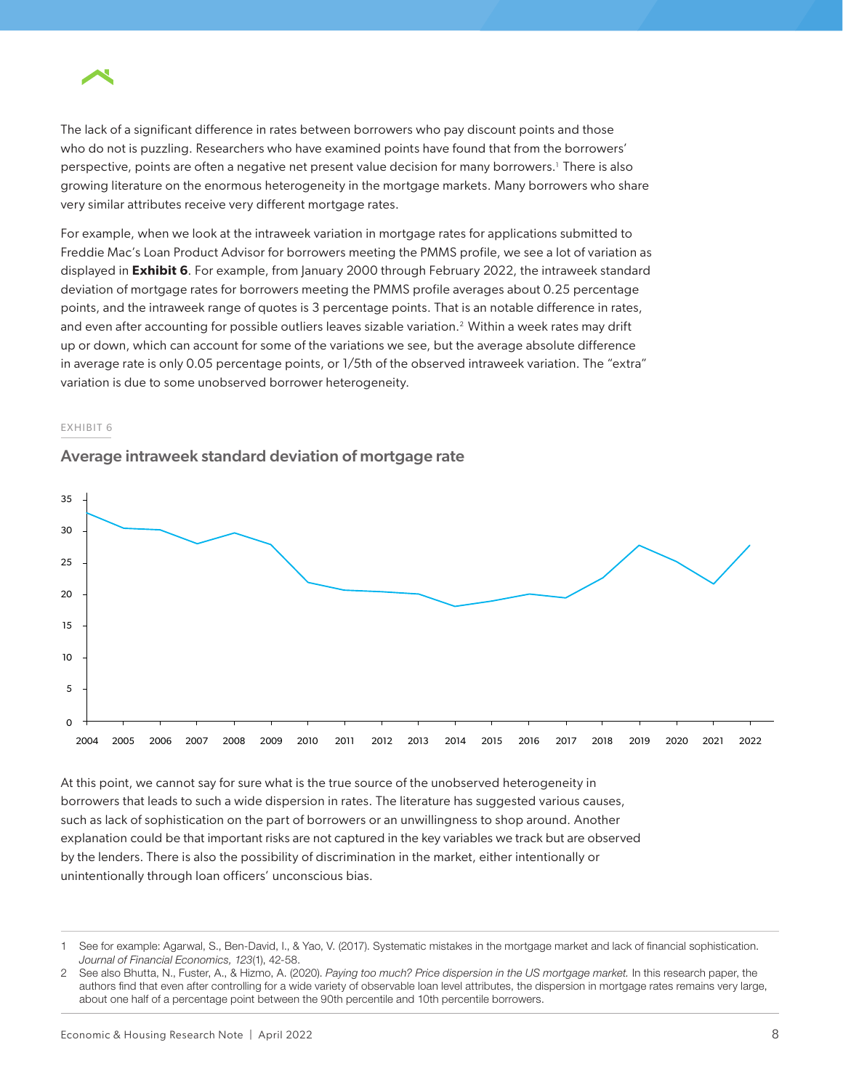

The lack of a significant difference in rates between borrowers who pay discount points and those who do not is puzzling. Researchers who have examined points have found that from the borrowers' perspective, points are often a negative net present value decision for many borrowers.<sup>1</sup> There is also growing literature on the enormous heterogeneity in the mortgage markets. Many borrowers who share very similar attributes receive very different mortgage rates.

For example, when we look at the intraweek variation in mortgage rates for applications submitted to Freddie Mac's Loan Product Advisor for borrowers meeting the PMMS profile, we see a lot of variation as displayed in **Exhibit 6**. For example, from January 2000 through February 2022, the intraweek standard deviation of mortgage rates for borrowers meeting the PMMS profile averages about 0.25 percentage points, and the intraweek range of quotes is 3 percentage points. That is an notable difference in rates, and even after accounting for possible outliers leaves sizable variation.2 Within a week rates may drift up or down, which can account for some of the variations we see, but the average absolute difference in average rate is only 0.05 percentage points, or 1/5th of the observed intraweek variation. The "extra" variation is due to some unobserved borrower heterogeneity.

#### EXHIBIT 6

#### Average intraweek standard deviation of mortgage rate



At this point, we cannot say for sure what is the true source of the unobserved heterogeneity in borrowers that leads to such a wide dispersion in rates. The literature has suggested various causes, such as lack of sophistication on the part of borrowers or an unwillingness to shop around. Another explanation could be that important risks are not captured in the key variables we track but are observed by the lenders. There is also the possibility of discrimination in the market, either intentionally or unintentionally through loan officers' unconscious bias.

<sup>1</sup> See for example: Agarwal, S., Ben-David, I., & Yao, V. (2017). Systematic mistakes in the mortgage market and lack of financial sophistication. *Journal of Financial Economics, 123*(1), 42-58.

<sup>2</sup> See also Bhutta, N., Fuster, A., & Hizmo, A. (2020). *Paying too much? Price dispersion in the US mortgage market.* In this research paper, the authors find that even after controlling for a wide variety of observable loan level attributes, the dispersion in mortgage rates remains very large, about one half of a percentage point between the 90th percentile and 10th percentile borrowers.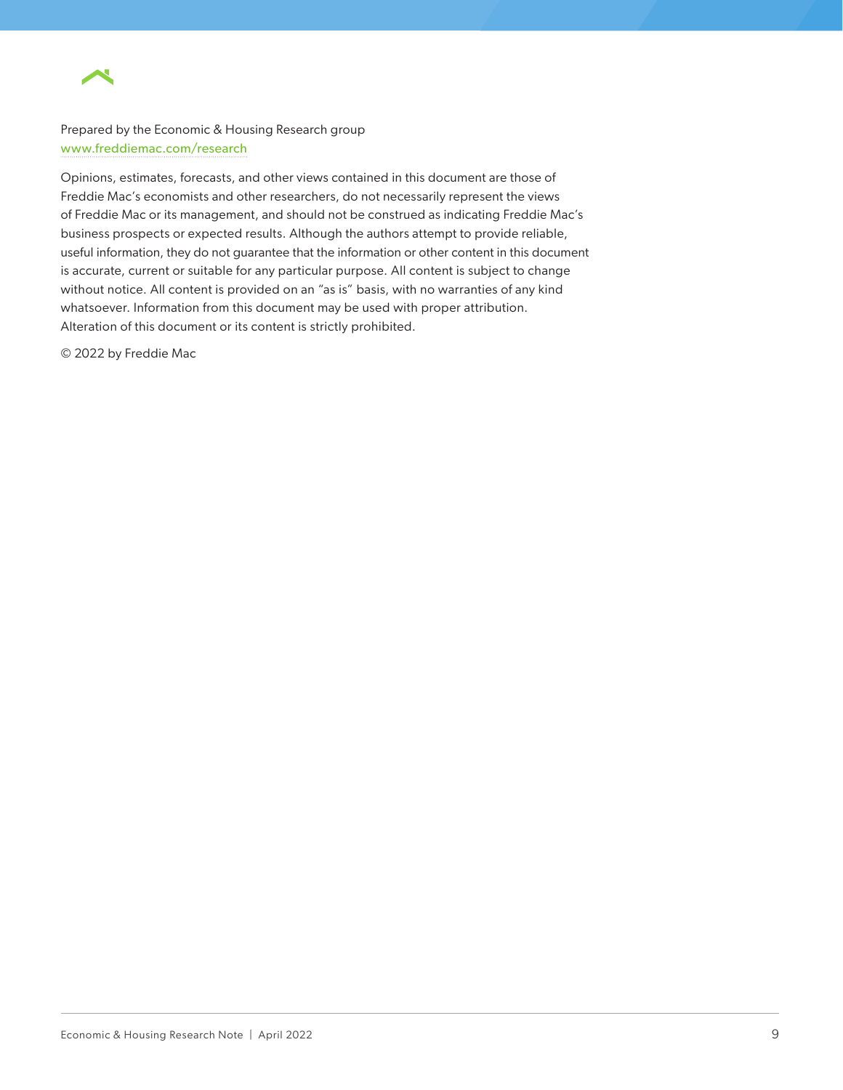

Prepared by the Economic & Housing Research group www.freddiemac.com/research

Opinions, estimates, forecasts, and other views contained in this document are those of Freddie Mac's economists and other researchers, do not necessarily represent the views of Freddie Mac or its management, and should not be construed as indicating Freddie Mac's business prospects or expected results. Although the authors attempt to provide reliable, useful information, they do not guarantee that the information or other content in this document is accurate, current or suitable for any particular purpose. All content is subject to change without notice. All content is provided on an "as is" basis, with no warranties of any kind whatsoever. Information from this document may be used with proper attribution. Alteration of this document or its content is strictly prohibited.

© 2022 by Freddie Mac